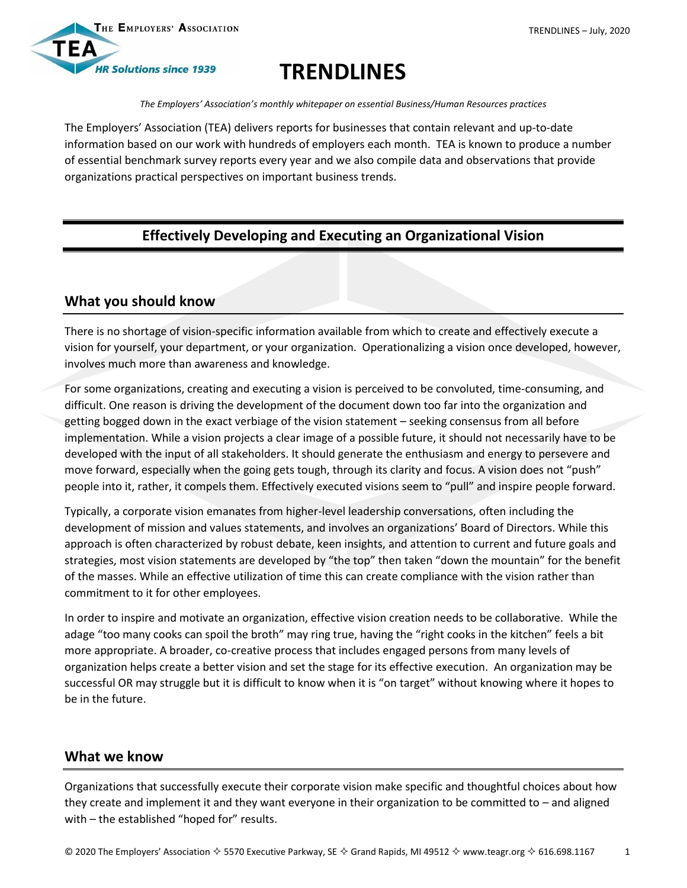

# **TRENDLINES**

*The Employers' Association's monthly whitepaper on essential Business/Human Resources practices*

The Employers' Association (TEA) delivers reports for businesses that contain relevant and up-to-date information based on our work with hundreds of employers each month. TEA is known to produce a number of essential benchmark survey reports every year and we also compile data and observations that provide organizations practical perspectives on important business trends.

# **Effectively Developing and Executing an Organizational Vision**

# **What you should know**

There is no shortage of vision-specific information available from which to create and effectively execute a vision for yourself, your department, or your organization. Operationalizing a vision once developed, however, involves much more than awareness and knowledge.

For some organizations, creating and executing a vision is perceived to be convoluted, time-consuming, and difficult. One reason is driving the development of the document down too far into the organization and getting bogged down in the exact verbiage of the vision statement – seeking consensus from all before implementation. While a vision projects a clear image of a possible future, it should not necessarily have to be developed with the input of all stakeholders. It should generate the enthusiasm and energy to persevere and move forward, especially when the going gets tough, through its clarity and focus. A vision does not "push" people into it, rather, it compels them. Effectively executed visions seem to "pull" and inspire people forward.

Typically, a corporate vision emanates from higher-level leadership conversations, often including the development of mission and values statements, and involves an organizations' Board of Directors. While this approach is often characterized by robust debate, keen insights, and attention to current and future goals and strategies, most vision statements are developed by "the top" then taken "down the mountain" for the benefit of the masses. While an effective utilization of time this can create compliance with the vision rather than commitment to it for other employees.

In order to inspire and motivate an organization, effective vision creation needs to be collaborative. While the adage "too many cooks can spoil the broth" may ring true, having the "right cooks in the kitchen" feels a bit more appropriate. A broader, co-creative process that includes engaged persons from many levels of organization helps create a better vision and set the stage for its effective execution. An organization may be successful OR may struggle but it is difficult to know when it is "on target" without knowing where it hopes to be in the future.

# **What we know**

Organizations that successfully execute their corporate vision make specific and thoughtful choices about how they create and implement it and they want everyone in their organization to be committed to – and aligned with – the established "hoped for" results.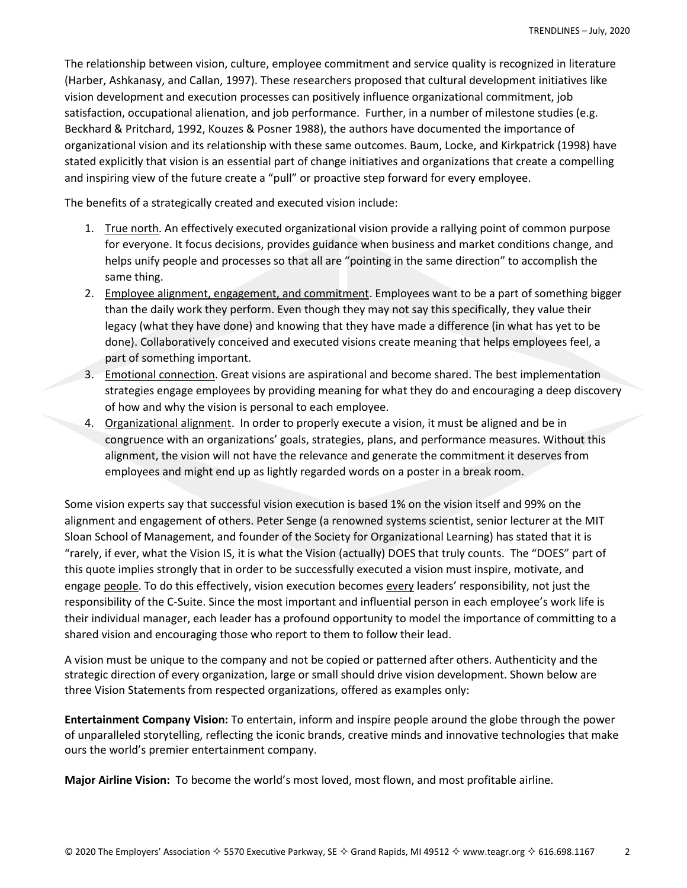The relationship between vision, culture, employee commitment and service quality is recognized in literature (Harber, Ashkanasy, and Callan, 1997). These researchers proposed that cultural development initiatives like vision development and execution processes can positively influence organizational commitment, job satisfaction, occupational alienation, and job performance. Further, in a number of milestone studies (e.g. Beckhard & Pritchard, 1992, Kouzes & Posner 1988), the authors have documented the importance of organizational vision and its relationship with these same outcomes. Baum, Locke, and Kirkpatrick (1998) have stated explicitly that vision is an essential part of change initiatives and organizations that create a compelling and inspiring view of the future create a "pull" or proactive step forward for every employee.

The benefits of a strategically created and executed vision include:

- 1. True north. An effectively executed organizational vision provide a rallying point of common purpose for everyone. It focus decisions, provides guidance when business and market conditions change, and helps unify people and processes so that all are "pointing in the same direction" to accomplish the same thing.
- 2. Employee alignment, engagement, and commitment. Employees want to be a part of something bigger than the daily work they perform. Even though they may not say this specifically, they value their legacy (what they have done) and knowing that they have made a difference (in what has yet to be done). Collaboratively conceived and executed visions create meaning that helps employees feel, a part of something important.
- 3. Emotional connection. Great visions are aspirational and become shared. The best implementation strategies engage employees by providing meaning for what they do and encouraging a deep discovery of how and why the vision is personal to each employee.
- 4. Organizational alignment. In order to properly execute a vision, it must be aligned and be in congruence with an organizations' goals, strategies, plans, and performance measures. Without this alignment, the vision will not have the relevance and generate the commitment it deserves from employees and might end up as lightly regarded words on a poster in a break room.

Some vision experts say that successful vision execution is based 1% on the vision itself and 99% on the alignment and engagement of others. Peter Senge (a renowned systems scientist, senior lecturer at the MIT Sloan School of Management, and founder of the Society for Organizational Learning) has stated that it is "rarely, if ever, what the Vision IS, it is what the Vision (actually) DOES that truly counts. The "DOES" part of this quote implies strongly that in order to be successfully executed a vision must inspire, motivate, and engage people. To do this effectively, vision execution becomes every leaders' responsibility, not just the responsibility of the C-Suite. Since the most important and influential person in each employee's work life is their individual manager, each leader has a profound opportunity to model the importance of committing to a shared vision and encouraging those who report to them to follow their lead.

A vision must be unique to the company and not be copied or patterned after others. Authenticity and the strategic direction of every organization, large or small should drive vision development. Shown below are three Vision Statements from respected organizations, offered as examples only:

**Entertainment Company Vision:** To entertain, inform and inspire people around the globe through the power of unparalleled storytelling, reflecting the iconic brands, creative minds and innovative technologies that make ours the world's premier entertainment company.

**Major Airline Vision:** To become the world's most loved, most flown, and most profitable airline.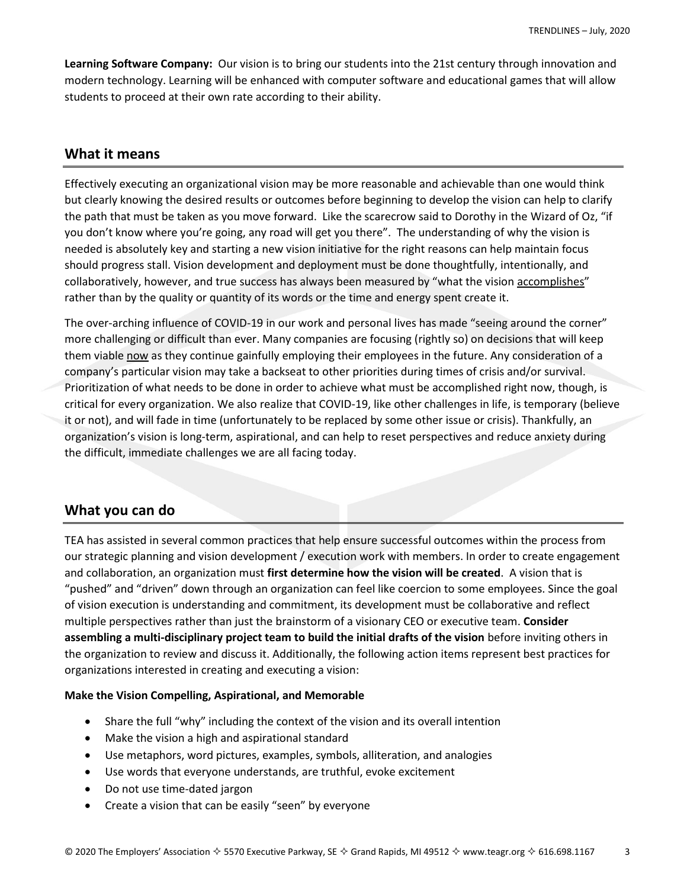**Learning Software Company:** Our vision is to bring our students into the 21st century through innovation and modern technology. Learning will be enhanced with computer software and educational games that will allow students to proceed at their own rate according to their ability.

## **What it means**

Effectively executing an organizational vision may be more reasonable and achievable than one would think but clearly knowing the desired results or outcomes before beginning to develop the vision can help to clarify the path that must be taken as you move forward. Like the scarecrow said to Dorothy in the Wizard of Oz, "if you don't know where you're going, any road will get you there". The understanding of why the vision is needed is absolutely key and starting a new vision initiative for the right reasons can help maintain focus should progress stall. Vision development and deployment must be done thoughtfully, intentionally, and collaboratively, however, and true success has always been measured by "what the vision accomplishes" rather than by the quality or quantity of its words or the time and energy spent create it.

The over-arching influence of COVID-19 in our work and personal lives has made "seeing around the corner" more challenging or difficult than ever. Many companies are focusing (rightly so) on decisions that will keep them viable now as they continue gainfully employing their employees in the future. Any consideration of a company's particular vision may take a backseat to other priorities during times of crisis and/or survival. Prioritization of what needs to be done in order to achieve what must be accomplished right now, though, is critical for every organization. We also realize that COVID-19, like other challenges in life, is temporary (believe it or not), and will fade in time (unfortunately to be replaced by some other issue or crisis). Thankfully, an organization's vision is long-term, aspirational, and can help to reset perspectives and reduce anxiety during the difficult, immediate challenges we are all facing today.

## **What you can do**

TEA has assisted in several common practices that help ensure successful outcomes within the process from our strategic planning and vision development / execution work with members. In order to create engagement and collaboration, an organization must **first determine how the vision will be created**. A vision that is "pushed" and "driven" down through an organization can feel like coercion to some employees. Since the goal of vision execution is understanding and commitment, its development must be collaborative and reflect multiple perspectives rather than just the brainstorm of a visionary CEO or executive team. **Consider assembling a multi-disciplinary project team to build the initial drafts of the vision** before inviting others in the organization to review and discuss it. Additionally, the following action items represent best practices for organizations interested in creating and executing a vision:

## **Make the Vision Compelling, Aspirational, and Memorable**

- Share the full "why" including the context of the vision and its overall intention
- Make the vision a high and aspirational standard
- Use metaphors, word pictures, examples, symbols, alliteration, and analogies
- Use words that everyone understands, are truthful, evoke excitement
- Do not use time-dated jargon
- Create a vision that can be easily "seen" by everyone